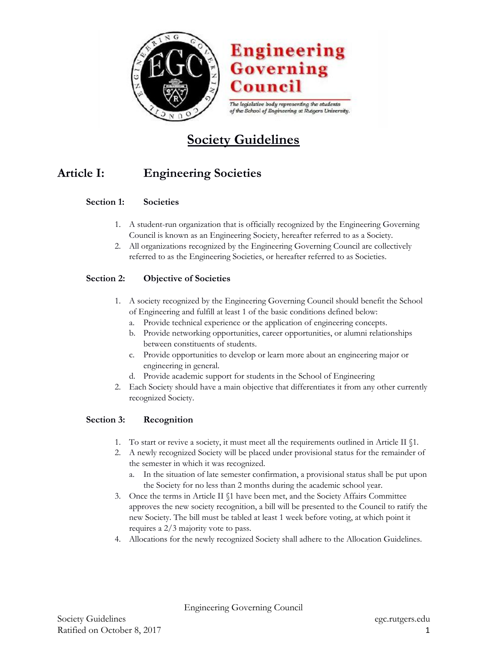

# **Engineering Governing** Council

The legislative body representing the students of the School of Engineering at Rutgers University.

# **Society Guidelines**

# **Article I: Engineering Societies**

### **Section 1: Societies**

- 1. A student-run organization that is officially recognized by the Engineering Governing Council is known as an Engineering Society, hereafter referred to as a Society.
- 2. All organizations recognized by the Engineering Governing Council are collectively referred to as the Engineering Societies, or hereafter referred to as Societies.

### **Section 2: Objective of Societies**

- 1. A society recognized by the Engineering Governing Council should benefit the School of Engineering and fulfill at least 1 of the basic conditions defined below:
	- a. Provide technical experience or the application of engineering concepts.
	- b. Provide networking opportunities, career opportunities, or alumni relationships between constituents of students.
	- c. Provide opportunities to develop or learn more about an engineering major or engineering in general.
	- d. Provide academic support for students in the School of Engineering
- 2. Each Society should have a main objective that differentiates it from any other currently recognized Society.

## **Section 3: Recognition**

- 1. To start or revive a society, it must meet all the requirements outlined in Article II §1.
- 2. A newly recognized Society will be placed under provisional status for the remainder of the semester in which it was recognized.
	- a. In the situation of late semester confirmation, a provisional status shall be put upon the Society for no less than 2 months during the academic school year.
- 3. Once the terms in Article II §1 have been met, and the Society Affairs Committee approves the new society recognition, a bill will be presented to the Council to ratify the new Society. The bill must be tabled at least 1 week before voting, at which point it requires a 2/3 majority vote to pass.
- 4. Allocations for the newly recognized Society shall adhere to the Allocation Guidelines.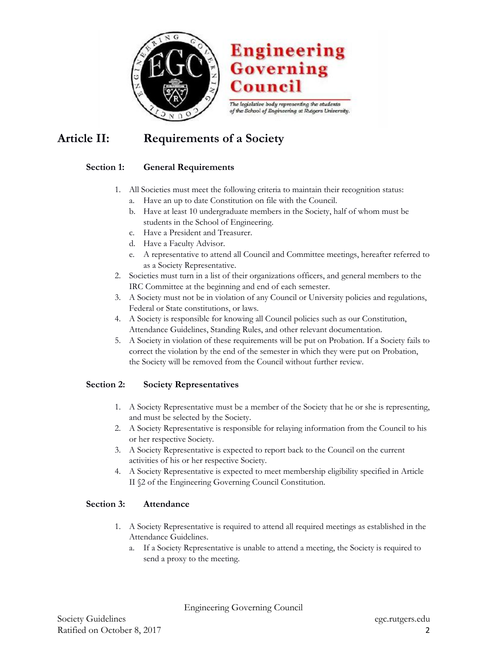

# **Engineering Governing Council**

The legislative body representing the students of the School of Engineering at Rutgers University.

# **Article II: Requirements of a Society**

## **Section 1: General Requirements**

- 1. All Societies must meet the following criteria to maintain their recognition status: a. Have an up to date Constitution on file with the Council.
	- b. Have at least 10 undergraduate members in the Society, half of whom must be students in the School of Engineering.
	- c. Have a President and Treasurer.
	- d. Have a Faculty Advisor.
	- e. A representative to attend all Council and Committee meetings, hereafter referred to as a Society Representative.
- 2. Societies must turn in a list of their organizations officers, and general members to the IRC Committee at the beginning and end of each semester.
- 3. A Society must not be in violation of any Council or University policies and regulations, Federal or State constitutions, or laws.
- 4. A Society is responsible for knowing all Council policies such as our Constitution, Attendance Guidelines, Standing Rules, and other relevant documentation.
- 5. A Society in violation of these requirements will be put on Probation. If a Society fails to correct the violation by the end of the semester in which they were put on Probation, the Society will be removed from the Council without further review.

## **Section 2: Society Representatives**

- 1. A Society Representative must be a member of the Society that he or she is representing, and must be selected by the Society.
- 2. A Society Representative is responsible for relaying information from the Council to his or her respective Society.
- 3. A Society Representative is expected to report back to the Council on the current activities of his or her respective Society.
- 4. A Society Representative is expected to meet membership eligibility specified in Article II §2 of the Engineering Governing Council Constitution.

#### **Section 3: Attendance**

- 1. A Society Representative is required to attend all required meetings as established in the Attendance Guidelines.
	- a. If a Society Representative is unable to attend a meeting, the Society is required to send a proxy to the meeting.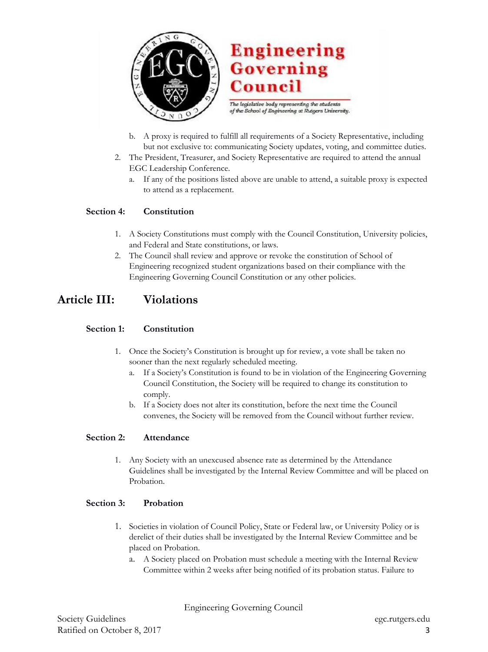

- b. A proxy is required to fulfill all requirements of a Society Representative, including but not exclusive to: communicating Society updates, voting, and committee duties.
- 2. The President, Treasurer, and Society Representative are required to attend the annual EGC Leadership Conference.
	- a. If any of the positions listed above are unable to attend, a suitable proxy is expected to attend as a replacement.

#### **Section 4: Constitution**

- 1. A Society Constitutions must comply with the Council Constitution, University policies, and Federal and State constitutions, or laws.
- 2. The Council shall review and approve or revoke the constitution of School of Engineering recognized student organizations based on their compliance with the Engineering Governing Council Constitution or any other policies.

## **Article III: Violations**

#### **Section 1: Constitution**

- 1. Once the Society's Constitution is brought up for review, a vote shall be taken no sooner than the next regularly scheduled meeting.
	- a. If a Society's Constitution is found to be in violation of the Engineering Governing Council Constitution, the Society will be required to change its constitution to comply.
	- b. If a Society does not alter its constitution, before the next time the Council convenes, the Society will be removed from the Council without further review.

#### **Section 2: Attendance**

1. Any Society with an unexcused absence rate as determined by the Attendance Guidelines shall be investigated by the Internal Review Committee and will be placed on Probation.

#### **Section 3: Probation**

- 1. Societies in violation of Council Policy, State or Federal law, or University Policy or is derelict of their duties shall be investigated by the Internal Review Committee and be placed on Probation.
	- a. A Society placed on Probation must schedule a meeting with the Internal Review Committee within 2 weeks after being notified of its probation status. Failure to

Engineering Governing Council